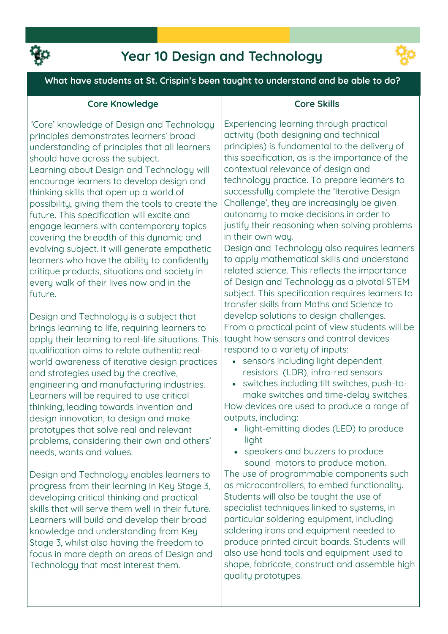

## **Year 10 Design and Technology**



**What have students at St. Crispin's been taught to understand and be able to do?**

### **Core Knowledge**

**'Core' knowledge of Design and Technology principles demonstrates learners' broad understanding of principles that all learners should have across the subject. Learning about Design and Technology will encourage learners to develop design and thinking skills that open up a world of possibility, giving them the tools to create the future. This specification will excite and engage learners with contemporary topics covering the breadth of this dynamic and evolving subject. It will generate empathetic learners who have the ability to confidently critique products, situations and society in every walk of their lives now and in the future.**

**Design and Technology is a subject that brings learning to life, requiring learners to apply their learning to real-life situations. This qualification aims to relate authentic realworld awareness of iterative design practices and strategies used by the creative, engineering and manufacturing industries. Learners will be required to use critical thinking, leading towards invention and design innovation, to design and make prototypes that solve real and relevant problems, considering their own and others' needs, wants and values.** 

**Design and Technology enables learners to progress from their learning in Key Stage 3, developing critical thinking and practical skills that will serve them well in their future. Learners will build and develop their broad knowledge and understanding from Key Stage 3, whilst also having the freedom to focus in more depth on areas of Design and Technology that most interest them.**

### **Core Skills**

**Experiencing learning through practical activity (both designing and technical principles) is fundamental to the delivery of this specification, as is the importance of the contextual relevance of design and technology practice. To prepare learners to successfully complete the 'Iterative Design Challenge', they are increasingly be given autonomy to make decisions in order to justify their reasoning when solving problems in their own way.**

**Design and Technology also requires learners to apply mathematical skills and understand related science. This reflects the importance of Design and Technology as a pivotal STEM subject. This specification requires learners to transfer skills from Maths and Science to develop solutions to design challenges. From a practical point of view students will be taught how sensors and control devices respond to a variety of inputs:**

- **sensors including light dependent resistors (LDR), infra-red sensors**
- **switches including tilt switches, push-tomake switches and time-delay switches. How devices are used to produce a range of**

**outputs, including: light-emitting diodes (LED) to produce** 

- **light**
- **speakers and buzzers to produce sound motors to produce motion.**

**The use of programmable components such as microcontrollers, to embed functionality. Students will also be taught the use of specialist techniques linked to systems, in particular soldering equipment, including soldering irons and equipment needed to produce printed circuit boards. Students will also use hand tools and equipment used to shape, fabricate, construct and assemble high quality prototypes.**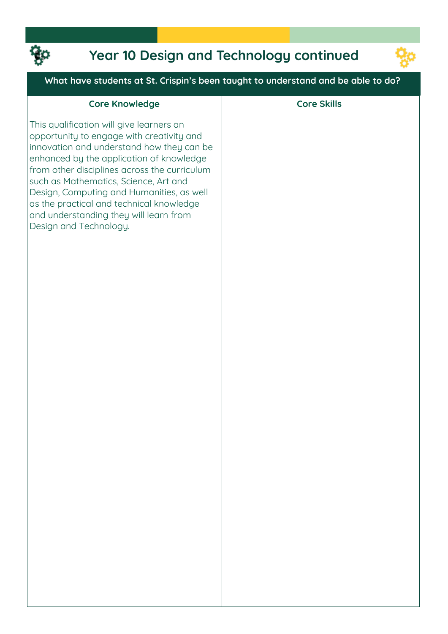

# **Year 10 Design and Technology continued**



### **What have students at St. Crispin's been taught to understand and be able to do?**

| <b>Core Knowledge</b>                                                                                                                                                                                                                                                                                                                                                                                                                | <b>Core Skills</b> |
|--------------------------------------------------------------------------------------------------------------------------------------------------------------------------------------------------------------------------------------------------------------------------------------------------------------------------------------------------------------------------------------------------------------------------------------|--------------------|
| This qualification will give learners an<br>opportunity to engage with creativity and<br>innovation and understand how they can be<br>enhanced by the application of knowledge<br>from other disciplines across the curriculum<br>such as Mathematics, Science, Art and<br>Design, Computing and Humanities, as well<br>as the practical and technical knowledge<br>and understanding they will learn from<br>Design and Technology. |                    |
|                                                                                                                                                                                                                                                                                                                                                                                                                                      |                    |
|                                                                                                                                                                                                                                                                                                                                                                                                                                      |                    |
|                                                                                                                                                                                                                                                                                                                                                                                                                                      |                    |